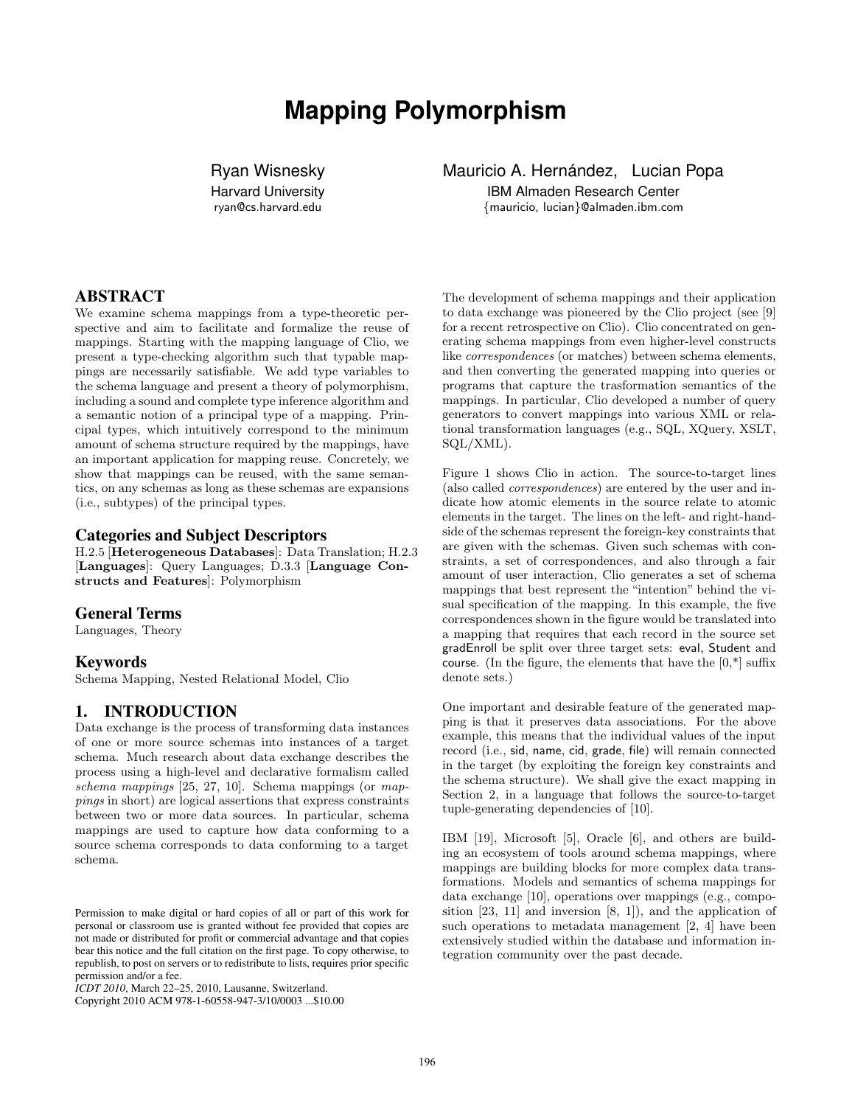# **Mapping Polymorphism**

Ryan Wisnesky Harvard University ryan@cs.harvard.edu

Mauricio A. Hernández, Lucian Popa IBM Almaden Research Center {mauricio, lucian}@almaden.ibm.com

### ABSTRACT

We examine schema mappings from a type-theoretic perspective and aim to facilitate and formalize the reuse of mappings. Starting with the mapping language of Clio, we present a type-checking algorithm such that typable mappings are necessarily satisfiable. We add type variables to the schema language and present a theory of polymorphism, including a sound and complete type inference algorithm and a semantic notion of a principal type of a mapping. Principal types, which intuitively correspond to the minimum amount of schema structure required by the mappings, have an important application for mapping reuse. Concretely, we show that mappings can be reused, with the same semantics, on any schemas as long as these schemas are expansions (i.e., subtypes) of the principal types.

#### Categories and Subject Descriptors

H.2.5 [Heterogeneous Databases]: Data Translation; H.2.3 [Languages]: Query Languages; D.3.3 [Language Constructs and Features]: Polymorphism

# General Terms

Languages, Theory

#### Keywords

Schema Mapping, Nested Relational Model, Clio

#### 1. INTRODUCTION

Data exchange is the process of transforming data instances of one or more source schemas into instances of a target schema. Much research about data exchange describes the process using a high-level and declarative formalism called schema mappings [25, 27, 10]. Schema mappings (or mappings in short) are logical assertions that express constraints between two or more data sources. In particular, schema mappings are used to capture how data conforming to a source schema corresponds to data conforming to a target schema.

Copyright 2010 ACM 978-1-60558-947-3/10/0003 ...\$10.00

The development of schema mappings and their application to data exchange was pioneered by the Clio project (see [9] for a recent retrospective on Clio). Clio concentrated on generating schema mappings from even higher-level constructs like correspondences (or matches) between schema elements, and then converting the generated mapping into queries or programs that capture the trasformation semantics of the mappings. In particular, Clio developed a number of query generators to convert mappings into various XML or relational transformation languages (e.g., SQL, XQuery, XSLT, SQL/XML).

Figure 1 shows Clio in action. The source-to-target lines (also called correspondences) are entered by the user and indicate how atomic elements in the source relate to atomic elements in the target. The lines on the left- and right-handside of the schemas represent the foreign-key constraints that are given with the schemas. Given such schemas with constraints, a set of correspondences, and also through a fair amount of user interaction, Clio generates a set of schema mappings that best represent the "intention" behind the visual specification of the mapping. In this example, the five correspondences shown in the figure would be translated into a mapping that requires that each record in the source set gradEnroll be split over three target sets: eval, Student and course. (In the figure, the elements that have the  $[0, *]$  suffix denote sets.)

One important and desirable feature of the generated mapping is that it preserves data associations. For the above example, this means that the individual values of the input record (i.e., sid, name, cid, grade, file) will remain connected in the target (by exploiting the foreign key constraints and the schema structure). We shall give the exact mapping in Section 2, in a language that follows the source-to-target tuple-generating dependencies of [10].

IBM [19], Microsoft [5], Oracle [6], and others are building an ecosystem of tools around schema mappings, where mappings are building blocks for more complex data transformations. Models and semantics of schema mappings for data exchange [10], operations over mappings (e.g., composition [23, 11] and inversion [8, 1]), and the application of such operations to metadata management [2, 4] have been extensively studied within the database and information integration community over the past decade.

Permission to make digital or hard copies of all or part of this work for personal or classroom use is granted without fee provided that copies are not made or distributed for profit or commercial advantage and that copies bear this notice and the full citation on the first page. To copy otherwise, to republish, to post on servers or to redistribute to lists, requires prior specific permission and/or a fee.

*ICDT 2010*, March 22–25, 2010, Lausanne, Switzerland.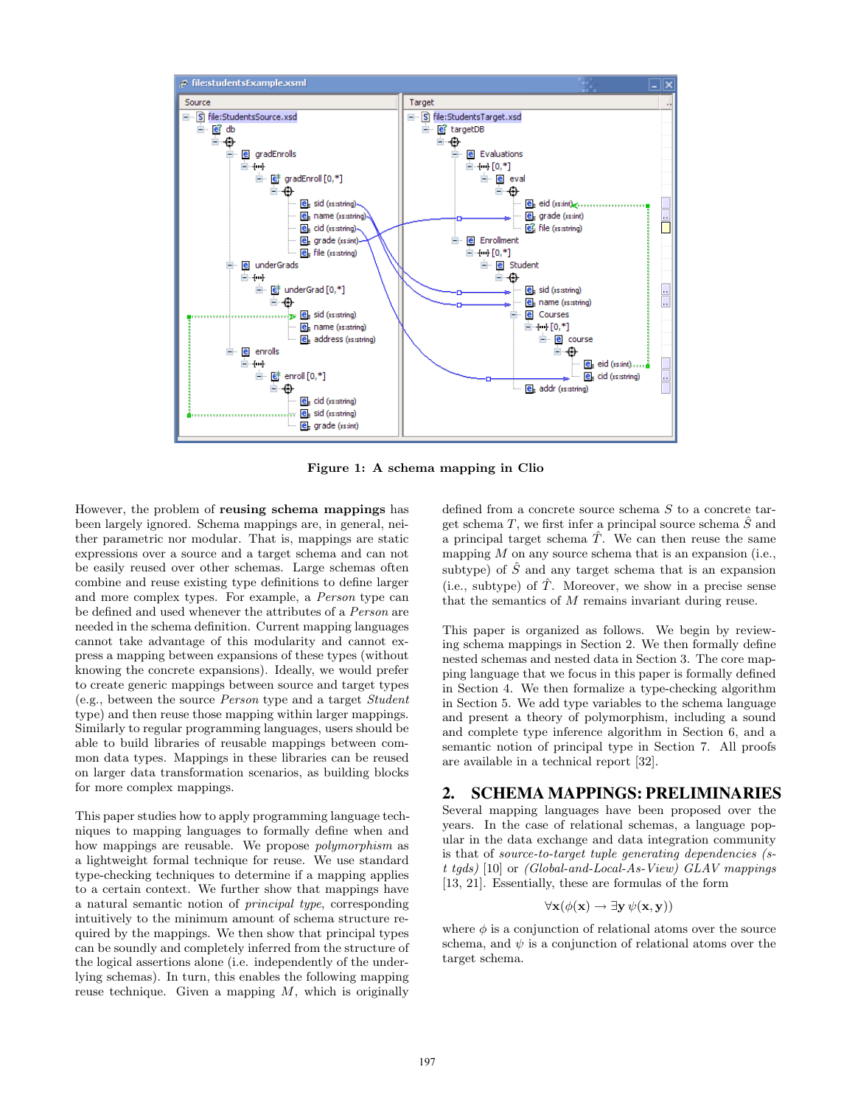

Figure 1: A schema mapping in Clio

However, the problem of reusing schema mappings has been largely ignored. Schema mappings are, in general, neither parametric nor modular. That is, mappings are static expressions over a source and a target schema and can not be easily reused over other schemas. Large schemas often combine and reuse existing type definitions to define larger and more complex types. For example, a Person type can be defined and used whenever the attributes of a Person are needed in the schema definition. Current mapping languages cannot take advantage of this modularity and cannot express a mapping between expansions of these types (without knowing the concrete expansions). Ideally, we would prefer to create generic mappings between source and target types (e.g., between the source Person type and a target Student type) and then reuse those mapping within larger mappings. Similarly to regular programming languages, users should be able to build libraries of reusable mappings between common data types. Mappings in these libraries can be reused on larger data transformation scenarios, as building blocks for more complex mappings.

This paper studies how to apply programming language techniques to mapping languages to formally define when and how mappings are reusable. We propose polymorphism as a lightweight formal technique for reuse. We use standard type-checking techniques to determine if a mapping applies to a certain context. We further show that mappings have a natural semantic notion of principal type, corresponding intuitively to the minimum amount of schema structure required by the mappings. We then show that principal types can be soundly and completely inferred from the structure of the logical assertions alone (i.e. independently of the underlying schemas). In turn, this enables the following mapping reuse technique. Given a mapping  $M$ , which is originally

defined from a concrete source schema S to a concrete target schema T, we first infer a principal source schema  $\hat{S}$  and a principal target schema  $\hat{T}$ . We can then reuse the same mapping  $M$  on any source schema that is an expansion (i.e., subtype) of  $\hat{S}$  and any target schema that is an expansion (i.e., subtype) of  $\hat{T}$ . Moreover, we show in a precise sense that the semantics of M remains invariant during reuse.

This paper is organized as follows. We begin by reviewing schema mappings in Section 2. We then formally define nested schemas and nested data in Section 3. The core mapping language that we focus in this paper is formally defined in Section 4. We then formalize a type-checking algorithm in Section 5. We add type variables to the schema language and present a theory of polymorphism, including a sound and complete type inference algorithm in Section 6, and a semantic notion of principal type in Section 7. All proofs are available in a technical report [32].

#### 2. SCHEMA MAPPINGS: PRELIMINARIES

Several mapping languages have been proposed over the years. In the case of relational schemas, a language popular in the data exchange and data integration community is that of source-to-target tuple generating dependencies (st tgds) [10] or (Global-and-Local-As-View) GLAV mappings [13, 21]. Essentially, these are formulas of the form

$$
\forall \mathbf{x}(\phi(\mathbf{x}) \rightarrow \exists \mathbf{y} \, \psi(\mathbf{x}, \mathbf{y}))
$$

where  $\phi$  is a conjunction of relational atoms over the source schema, and  $\psi$  is a conjunction of relational atoms over the target schema.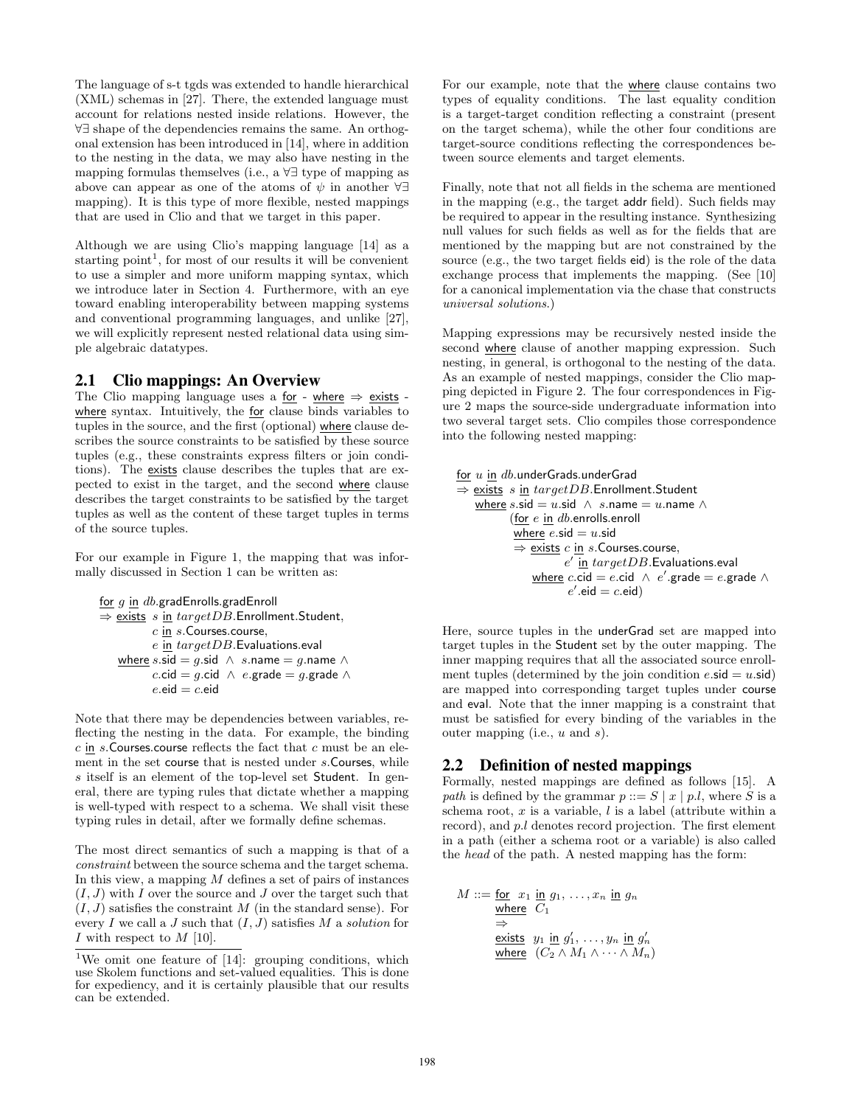The language of s-t tgds was extended to handle hierarchical (XML) schemas in [27]. There, the extended language must account for relations nested inside relations. However, the ∀∃ shape of the dependencies remains the same. An orthogonal extension has been introduced in [14], where in addition to the nesting in the data, we may also have nesting in the mapping formulas themselves (i.e., a ∀∃ type of mapping as above can appear as one of the atoms of  $\psi$  in another  $\forall \exists$ mapping). It is this type of more flexible, nested mappings that are used in Clio and that we target in this paper.

Although we are using Clio's mapping language [14] as a starting  $point<sup>1</sup>$ , for most of our results it will be convenient to use a simpler and more uniform mapping syntax, which we introduce later in Section 4. Furthermore, with an eye toward enabling interoperability between mapping systems and conventional programming languages, and unlike [27], we will explicitly represent nested relational data using simple algebraic datatypes.

# 2.1 Clio mappings: An Overview

The Clio mapping language uses a for - where  $\Rightarrow$  exists where syntax. Intuitively, the for clause binds variables to tuples in the source, and the first (optional) where clause describes the source constraints to be satisfied by these source tuples (e.g., these constraints express filters or join conditions). The exists clause describes the tuples that are expected to exist in the target, and the second where clause describes the target constraints to be satisfied by the target tuples as well as the content of these target tuples in terms of the source tuples.

For our example in Figure 1, the mapping that was informally discussed in Section 1 can be written as:

```
for q in db.gradEnrolls.gradEnroll
\Rightarrow exists s in targetDB.Enrollment.Student,
          c in s.Courses.course,
          e in targetDB. Evaluations.eval
   where s.sid = q.sid \land s.name = q.name \landc.cid = q.cid ∧ e.grade = q.grade ∧
          e.eid = c.eid
```
Note that there may be dependencies between variables, reflecting the nesting in the data. For example, the binding  $c$  in s. Courses. course reflects the fact that  $c$  must be an element in the set course that is nested under s. Courses, while s itself is an element of the top-level set Student. In general, there are typing rules that dictate whether a mapping is well-typed with respect to a schema. We shall visit these typing rules in detail, after we formally define schemas.

The most direct semantics of such a mapping is that of a constraint between the source schema and the target schema. In this view, a mapping  $M$  defines a set of pairs of instances  $(I, J)$  with I over the source and J over the target such that  $(I, J)$  satisfies the constraint M (in the standard sense). For every I we call a J such that  $(I, J)$  satisfies M a solution for I with respect to  $M$  [10].

For our example, note that the where clause contains two types of equality conditions. The last equality condition is a target-target condition reflecting a constraint (present on the target schema), while the other four conditions are target-source conditions reflecting the correspondences between source elements and target elements.

Finally, note that not all fields in the schema are mentioned in the mapping (e.g., the target addr field). Such fields may be required to appear in the resulting instance. Synthesizing null values for such fields as well as for the fields that are mentioned by the mapping but are not constrained by the source (e.g., the two target fields eid) is the role of the data exchange process that implements the mapping. (See [10] for a canonical implementation via the chase that constructs universal solutions.)

Mapping expressions may be recursively nested inside the second where clause of another mapping expression. Such nesting, in general, is orthogonal to the nesting of the data. As an example of nested mappings, consider the Clio mapping depicted in Figure 2. The four correspondences in Figure 2 maps the source-side undergraduate information into two several target sets. Clio compiles those correspondence into the following nested mapping:

```
for u in db.underGrads.underGrad
\Rightarrow exists s in targetDB. Enrollment. Student
    where s.\text{sid} = u.\text{sid} \land s.\text{name} = u.\text{name} \land(for e in db.enrolls.enroll
             where e.\text{sid} = u.\text{sid}\Rightarrow exists c in s. Courses.course,
                         e' in targetDB. Evaluations.eval
                  where c.cid = e.cid \wedge e'.grade = e.grade \wedgee'.eid = c.eid)
```
Here, source tuples in the underGrad set are mapped into target tuples in the Student set by the outer mapping. The inner mapping requires that all the associated source enrollment tuples (determined by the join condition  $e.\text{sid} = u.\text{sid}$ ) are mapped into corresponding target tuples under course and eval. Note that the inner mapping is a constraint that must be satisfied for every binding of the variables in the outer mapping (i.e., u and s).

# 2.2 Definition of nested mappings

Formally, nested mappings are defined as follows [15]. A *path* is defined by the grammar  $p ::= S | x | p.l$ , where S is a schema root,  $x$  is a variable,  $l$  is a label (attribute within a record), and p.l denotes record projection. The first element in a path (either a schema root or a variable) is also called the head of the path. A nested mapping has the form:

```
M ::= \underline{\text{for}} \ x_1 \underline{\text{in}} \ g_1, \ldots, x_n \underline{\text{in}} \ g_nwhere C_1⇒
              <u>exists</u> y_1 <u>in</u> g'_1, \ldots, y_n in g'_nwhere (C_2 \wedge M_1 \wedge \cdots \wedge M_n)
```
<sup>&</sup>lt;sup>1</sup>We omit one feature of [14]: grouping conditions, which use Skolem functions and set-valued equalities. This is done for expediency, and it is certainly plausible that our results can be extended.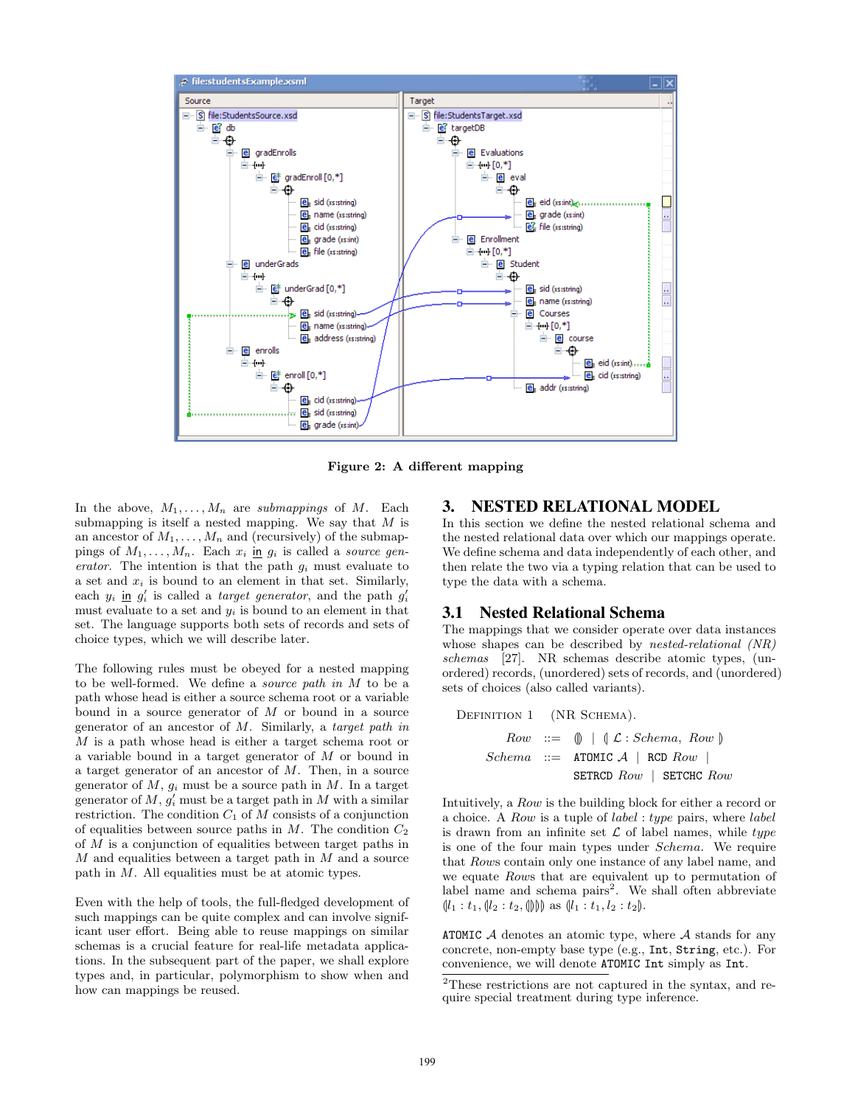

Figure 2: A different mapping

In the above,  $M_1, \ldots, M_n$  are submappings of M. Each submapping is itself a nested mapping. We say that  $M$  is an ancestor of  $M_1, \ldots, M_n$  and (recursively) of the submappings of  $M_1, \ldots, M_n$ . Each  $x_i$  in  $g_i$  is called a source generator. The intention is that the path  $g_i$  must evaluate to a set and  $x_i$  is bound to an element in that set. Similarly, each  $y_i$  in  $g'_i$  is called a *target generator*, and the path  $g'_i$ must evaluate to a set and  $y_i$  is bound to an element in that set. The language supports both sets of records and sets of choice types, which we will describe later.

The following rules must be obeyed for a nested mapping to be well-formed. We define a source path in M to be a path whose head is either a source schema root or a variable bound in a source generator of  $M$  or bound in a source generator of an ancestor of  $M$ . Similarly, a *target path in* M is a path whose head is either a target schema root or a variable bound in a target generator of M or bound in a target generator of an ancestor of M. Then, in a source generator of  $M$ ,  $g_i$  must be a source path in  $M$ . In a target generator of  $M$ ,  $g'_{i}$  must be a target path in M with a similar restriction. The condition  $C_1$  of M consists of a conjunction of equalities between source paths in  $M$ . The condition  $C_2$ of M is a conjunction of equalities between target paths in  $M$  and equalities between a target path in  $M$  and a source path in M. All equalities must be at atomic types.

Even with the help of tools, the full-fledged development of such mappings can be quite complex and can involve significant user effort. Being able to reuse mappings on similar schemas is a crucial feature for real-life metadata applications. In the subsequent part of the paper, we shall explore types and, in particular, polymorphism to show when and how can mappings be reused.

# 3. NESTED RELATIONAL MODEL

In this section we define the nested relational schema and the nested relational data over which our mappings operate. We define schema and data independently of each other, and then relate the two via a typing relation that can be used to type the data with a schema.

#### 3.1 Nested Relational Schema

The mappings that we consider operate over data instances whose shapes can be described by *nested-relational* (NR) schemas [27]. NR schemas describe atomic types, (unordered) records, (unordered) sets of records, and (unordered) sets of choices (also called variants).

DEFINITION 1 (NR SCHEMA).  
\nRow ::= 
$$
\|
$$
 | ( $\mathcal{L}$ : *Schema*, Row )  
\n*Schema* ::= **ATOMIC** A | RCD Row |  
\n**SETRCD** Row | **SETRIC** Row

Intuitively, a Row is the building block for either a record or a choice. A Row is a tuple of label : type pairs, where label is drawn from an infinite set  $\mathcal L$  of label names, while type is one of the four main types under Schema. We require that Rows contain only one instance of any label name, and we equate Rows that are equivalent up to permutation of label name and schema pairs<sup>2</sup>. We shall often abbreviate  $(l_1 : t_1, (l_2 : t_2, (\nparallel))$  as  $(l_1 : t_1, l_2 : t_2)$ .

ATOMIC  $A$  denotes an atomic type, where  $A$  stands for any concrete, non-empty base type (e.g., Int, String, etc.). For convenience, we will denote ATOMIC Int simply as Int.

<sup>2</sup>These restrictions are not captured in the syntax, and require special treatment during type inference.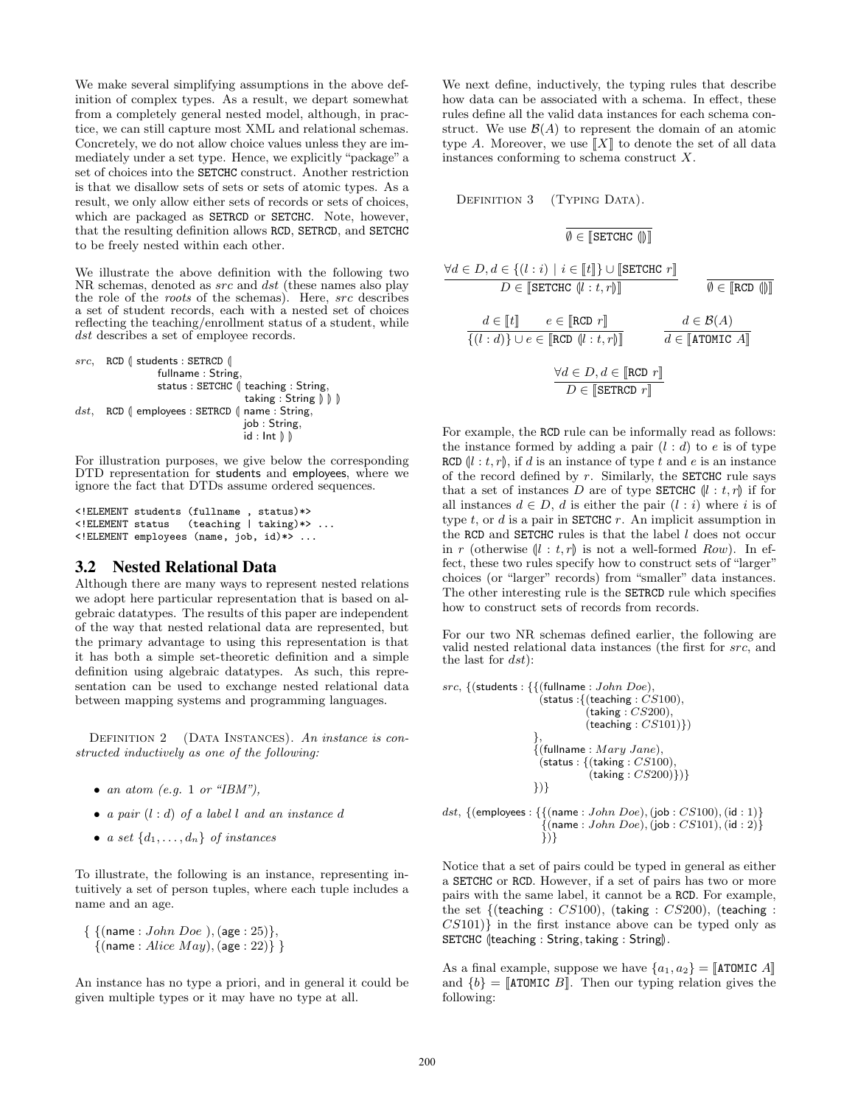We make several simplifying assumptions in the above definition of complex types. As a result, we depart somewhat from a completely general nested model, although, in practice, we can still capture most XML and relational schemas. Concretely, we do not allow choice values unless they are immediately under a set type. Hence, we explicitly "package" a set of choices into the SETCHC construct. Another restriction is that we disallow sets of sets or sets of atomic types. As a result, we only allow either sets of records or sets of choices, which are packaged as SETRCD or SETCHC. Note, however, that the resulting definition allows RCD, SETRCD, and SETCHC to be freely nested within each other.

We illustrate the above definition with the following two NR schemas, denoted as *src* and dst (these names also play the role of the roots of the schemas). Here, src describes a set of student records, each with a nested set of choices reflecting the teaching/enrollment status of a student, while dst describes a set of employee records.

```
src, RCD ( students : SETRCD (
                        fullname : String,
                        status : SETCHC ( teaching : String,
                                                  taking : String \emptyset \emptyset \emptysetdst, RCD \langle \rangle employees : SETRCD \langle \rangle name : String,
                                                  job : String,
                                                  id : Int \nightharpoonup \nightharpoonup
```
For illustration purposes, we give below the corresponding DTD representation for students and employees, where we ignore the fact that DTDs assume ordered sequences.

```
<!ELEMENT students (fullname , status)*>
<!ELEMENT status (teaching | taking)*> ...
<!ELEMENT employees (name, job, id)*> ...
```
## 3.2 Nested Relational Data

Although there are many ways to represent nested relations we adopt here particular representation that is based on algebraic datatypes. The results of this paper are independent of the way that nested relational data are represented, but the primary advantage to using this representation is that it has both a simple set-theoretic definition and a simple definition using algebraic datatypes. As such, this representation can be used to exchange nested relational data between mapping systems and programming languages.

DEFINITION 2 (DATA INSTANCES). An instance is constructed inductively as one of the following:

- an atom (e.g. 1 or " $IBM$ "),
- a pair  $(l : d)$  of a label  $l$  and an instance  $d$
- a set  $\{d_1, \ldots, d_n\}$  of instances

To illustrate, the following is an instance, representing intuitively a set of person tuples, where each tuple includes a name and an age.

```
{ \{ \{ (name: John Doe), (age: 25) \}, \}\{(\text{name}: Alice May), (\text{age}: 22)\}\}
```
An instance has no type a priori, and in general it could be given multiple types or it may have no type at all.

We next define, inductively, the typing rules that describe how data can be associated with a schema. In effect, these rules define all the valid data instances for each schema construct. We use  $\mathcal{B}(A)$  to represent the domain of an atomic type A. Moreover, we use  $\llbracket X \rrbracket$  to denote the set of all data instances conforming to schema construct X.

DEFINITION 3 (TYPING DATA).

$$
\emptyset \in [\text{setche } \varphi]
$$

$$
\forall d \in D, d \in \{(l : i) \mid i \in [[t]]\} \cup \text{[SECTION } r \text{]} \qquad \overbrace{D \in \text{[SECTION } (l : t, r) \text{]} \qquad \qquad \overbrace{\emptyset \in \text{[RCD } (\emptyset) \text{]}} \qquad \overbrace{\{ (l : d) \} \cup e \in \text{[RCD } (\emptyset : t, r) \text{]}} \qquad \qquad d \in B(A) \qquad \qquad \overbrace{\{ (l : d) \} \cup e \in \text{[RCD } (\emptyset : t, r) \text{]}} \qquad \qquad \overbrace{d \in \text{[ATOMIC } A \text{]}}
$$

$$
\frac{\forall d \in D, d \in [\text{RCD } r]}{D \in [\text{SETRCD } r]}
$$

For example, the RCD rule can be informally read as follows: the instance formed by adding a pair  $(l : d)$  to e is of type RCD  $($ l : t, r $)$ , if d is an instance of type t and e is an instance of the record defined by  $r$ . Similarly, the SETCHC rule says that a set of instances D are of type SETCHC  $(l : t, r)$  if for all instances  $d \in D$ , d is either the pair  $(l : i)$  where i is of type  $t$ , or  $d$  is a pair in SETCHC  $r$ . An implicit assumption in the RCD and SETCHC rules is that the label  $l$  does not occur in r (otherwise  $\llbracket l : t, r \rrbracket$  is not a well-formed Row). In effect, these two rules specify how to construct sets of "larger" choices (or "larger" records) from "smaller" data instances. The other interesting rule is the SETRCD rule which specifies how to construct sets of records from records.

For our two NR schemas defined earlier, the following are valid nested relational data instances (the first for src, and the last for  $dst)$ :

```
src, \{(students: \{\{(fullname: John Doe\)},\}(status :{(teaching : C S 100)},(taking : CS200),
                                  (\text{teaching}: C S101)\})},
                      \{(fullname: Mary Jane),
                       (\text{status}: \{(\text{taking}: C S 100)\})(\text{taking}:CS200)\})})}
dst, \{(employees : \{\{(name : John Doe), (job : CS100), (id : 1)\}\{(\text{name}: John Doe), (\text{job}: CS101), (\text{id}: 2)\}
```
})}

Notice that a set of pairs could be typed in general as either a SETCHC or RCD. However, if a set of pairs has two or more pairs with the same label, it cannot be a RCD. For example, the set  $\{$  (teaching :  $CS100$ ), (taking :  $CS200$ ), (teaching :  $\langle CS101\rangle$  in the first instance above can be typed only as SETCHC (teaching : String, taking : String).

As a final example, suppose we have  $\{a_1, a_2\} = \mathbb{I}$ ATOMIC  $A\mathbb{I}$ and  ${b} = \text{[ATOMIC } B$ . Then our typing relation gives the following: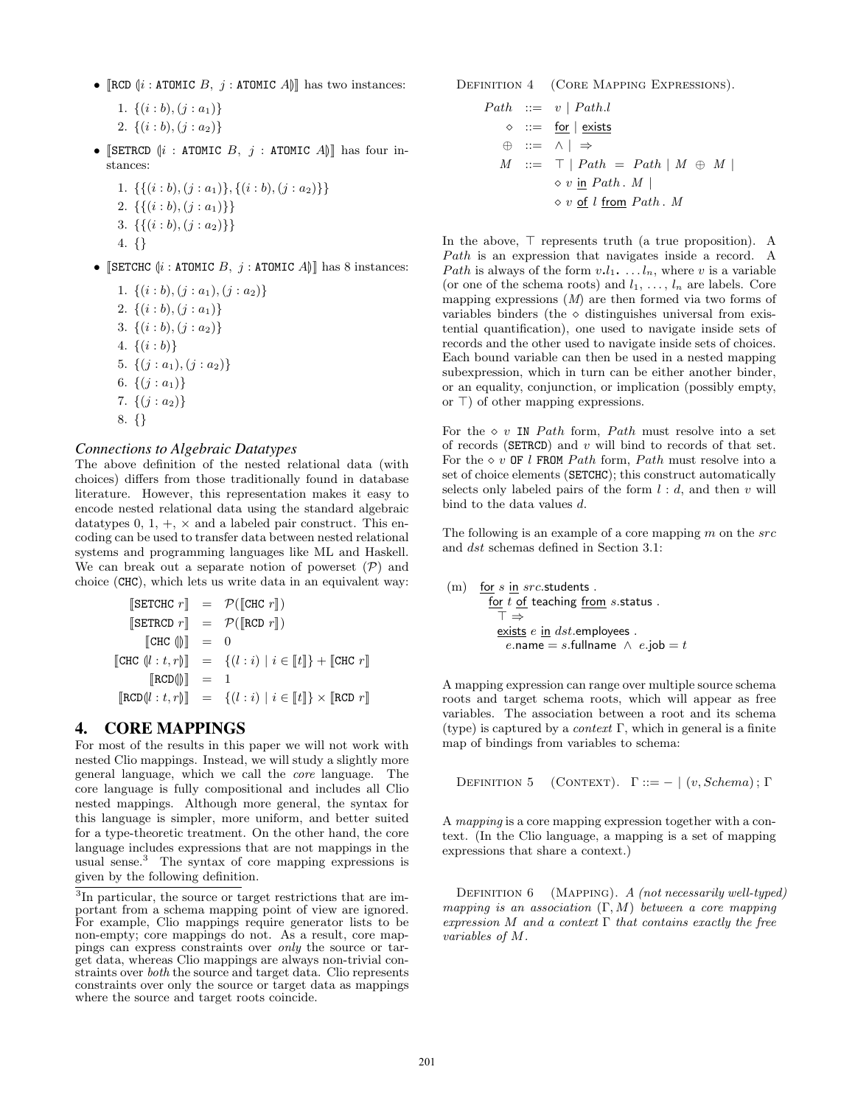• [RCD  $(i : ATOMIC B, j : ATOMIC A)$ ] has two instances:

1.  $\{(i : b), (j : a_1)\}\$ 

2.  $\{(i : b), (j : a_2)\}\$ 

• [SETRCD ( $i$  : ATOMIC B,  $j$  : ATOMIC A)] has four instances:

```
1. \{ \{(i : b), (j : a_1)\}, \{(i : b), (j : a_2)\} \}2. \{\{(i : b), (j : a_1)\}\}\3. \{\{(i : b), (j : a_2)\}\}\
```
- 4. {}
- [SETCHC  $[i : \text{ATOMIC } B, j : \text{ATOMIC } A]\$ ] has 8 instances:

1.  $\{(i : b), (j : a_1), (j : a_2)\}\$ 2.  $\{(i:b), (i:a_1)\}\$ 3.  $\{(i : b), (j : a_2)\}\$ 4.  $\{(i : b)\}$ 5.  $\{(j : a_1), (j : a_2)\}\$ 6.  $\{(j : a_1)\}\$ 7.  $\{(i : a_2)\}\$ 8. {}

#### *Connections to Algebraic Datatypes*

The above definition of the nested relational data (with choices) differs from those traditionally found in database literature. However, this representation makes it easy to encode nested relational data using the standard algebraic datatypes  $0, 1, +, \times$  and a labeled pair construct. This encoding can be used to transfer data between nested relational systems and programming languages like ML and Haskell. We can break out a separate notion of powerset  $(\mathcal{P})$  and choice (CHC), which lets us write data in an equivalent way:

$$
\begin{array}{rcl}\n[\texttt{SETCHC } r] & = & \mathcal{P}([\texttt{CHC } r]) \\
[\texttt{SETRCD } r] & = & \mathcal{P}([\texttt{RCD } r]) \\
[\texttt{CHC } (\varnothing)] & = & 0 \\
[\texttt{CHC } (\mathcal{l} : t, r)]] & = & \{(l : i) \mid i \in [\![t]\!] \} + [\texttt{CHC } r] \\
[\texttt{RCD}(\varnothing]] & = & 1 \\
[\texttt{RCD}(\mathcal{l} : t, r)] & = & \{(l : i) \mid i \in [\![t]\!] \} \times [\texttt{RCD } r]\n\end{array}
$$

## 4. CORE MAPPINGS

For most of the results in this paper we will not work with nested Clio mappings. Instead, we will study a slightly more general language, which we call the core language. The core language is fully compositional and includes all Clio nested mappings. Although more general, the syntax for this language is simpler, more uniform, and better suited for a type-theoretic treatment. On the other hand, the core language includes expressions that are not mappings in the usual sense. $3$  The syntax of core mapping expressions is given by the following definition.

DEFINITION 4 (CORE MAPPING EXPRESSIONS).

| Path         | ::=             | $v \mid Path.l$                              |  |
|--------------|-----------------|----------------------------------------------|--|
| $\diamond$   | ::=             | for                                          |  |
| $\diamond$   | ::=             | $\land \mid \Rightarrow$                     |  |
| $M$          | ::=             | $\top \mid Path = Path \mid M \oplus M \mid$ |  |
| $\diamond v$ | in Path. M \mid |                                              |  |
| $\diamond v$ | of              | l from Path. M                               |  |

In the above,  $\top$  represents truth (a true proposition). A Path is an expression that navigates inside a record. A Path is always of the form  $v.l_1$ . ...  $l_n$ , where v is a variable (or one of the schema roots) and  $l_1, \ldots, l_n$  are labels. Core mapping expressions  $(M)$  are then formed via two forms of variables binders (the  $\diamond$  distinguishes universal from existential quantification), one used to navigate inside sets of records and the other used to navigate inside sets of choices. Each bound variable can then be used in a nested mapping subexpression, which in turn can be either another binder, or an equality, conjunction, or implication (possibly empty, or  $\top$ ) of other mapping expressions.

For the  $\diamond v$  IN Path form, Path must resolve into a set of records (SETRCD) and  $v$  will bind to records of that set. For the  $\Diamond v$  OF l FROM Path form, Path must resolve into a set of choice elements (SETCHC); this construct automatically selects only labeled pairs of the form  $l : d$ , and then v will bind to the data values d.

The following is an example of a core mapping  $m$  on the  $src$ and dst schemas defined in Section 3.1:

(m) 
$$
\underbrace{\text{for } s \text{ in } src.\text{students}}_{\top \Rightarrow \text{exists } e \text{ in } dst.\text{employees}}.
$$

$$
\underbrace{\text{exists } e \text{ in } dst.\text{employees}}_{e.\text{name} = s.\text{fullname } \land e.\text{job} = t.
$$

A mapping expression can range over multiple source schema roots and target schema roots, which will appear as free variables. The association between a root and its schema (type) is captured by a *context*  $\Gamma$ , which in general is a finite map of bindings from variables to schema:

DEFINITION 5 (CONTEXT).  $\Gamma ::= - | (v, Schema); \Gamma$ 

A mapping is a core mapping expression together with a context. (In the Clio language, a mapping is a set of mapping expressions that share a context.)

DEFINITION  $6$  (MAPPING). A (not necessarily well-typed) mapping is an association  $(\Gamma, M)$  between a core mapping expression M and a context  $\Gamma$  that contains exactly the free variables of M.

<sup>&</sup>lt;sup>3</sup>In particular, the source or target restrictions that are important from a schema mapping point of view are ignored. For example, Clio mappings require generator lists to be non-empty; core mappings do not. As a result, core mappings can express constraints over only the source or target data, whereas Clio mappings are always non-trivial constraints over both the source and target data. Clio represents constraints over only the source or target data as mappings where the source and target roots coincide.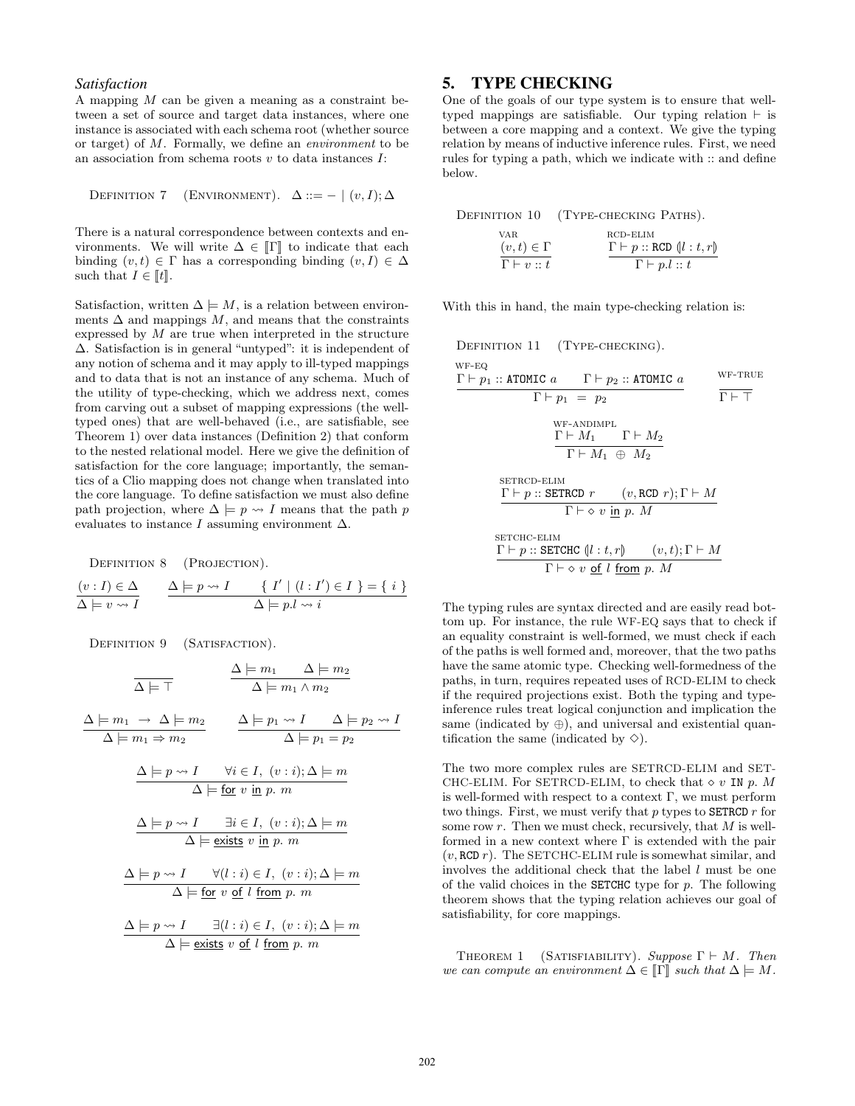#### *Satisfaction*

A mapping M can be given a meaning as a constraint between a set of source and target data instances, where one instance is associated with each schema root (whether source or target) of M. Formally, we define an environment to be an association from schema roots  $v$  to data instances  $I$ :

DEFINITION 7 (ENVIRONMENT). 
$$
\Delta ::= - | (v, I); \Delta
$$

There is a natural correspondence between contexts and environments. We will write  $\Delta \in \llbracket \Gamma \rrbracket$  to indicate that each binding  $(v, t) \in \Gamma$  has a corresponding binding  $(v, I) \in \Delta$ such that  $I \in \llbracket t \rrbracket$ .

Satisfaction, written  $\Delta \models M$ , is a relation between environments  $\Delta$  and mappings  $M$ , and means that the constraints expressed by  $M$  are true when interpreted in the structure ∆. Satisfaction is in general "untyped": it is independent of any notion of schema and it may apply to ill-typed mappings and to data that is not an instance of any schema. Much of the utility of type-checking, which we address next, comes from carving out a subset of mapping expressions (the welltyped ones) that are well-behaved (i.e., are satisfiable, see Theorem 1) over data instances (Definition 2) that conform to the nested relational model. Here we give the definition of satisfaction for the core language; importantly, the semantics of a Clio mapping does not change when translated into the core language. To define satisfaction we must also define path projection, where  $\Delta \models p \leadsto I$  means that the path p evaluates to instance I assuming environment  $\Delta$ .

DEFINITION 8 (PROJECTION).

$$
\frac{(v:I) \in \Delta}{\Delta \models v \leadsto I} \qquad \frac{\Delta \models p \leadsto I \qquad \{ I' \mid (l:I') \in I \} = \{ i \} }{\Delta \models p.l \leadsto i}
$$

DEFINITION 9 (SATISFACTION).

$$
\Delta \models m_1 \quad \Delta \models m_2
$$
\n
$$
\Delta \models m_1 \land m_2
$$
\n
$$
\Delta \models m_1 \rightarrow \Delta \models m_2 \qquad \Delta \models p_1 \leadsto I \quad \Delta \models p_2 \leadsto I
$$
\n
$$
\Delta \models m_1 \Rightarrow m_2 \qquad \Delta \models p_1 \leadsto I \quad \Delta \models p_2 \leadsto I
$$
\n
$$
\Delta \models p \leadsto I \qquad \forall i \in I, \ (v:i); \Delta \models m
$$
\n
$$
\Delta \models p \leadsto I \qquad \exists i \in I, \ (v:i); \Delta \models m
$$
\n
$$
\Delta \models \text{exists } v \text{ in } p. \ m
$$
\n
$$
\Delta \models p \leadsto I \qquad \forall (l:i) \in I, \ (v:i); \Delta \models m
$$
\n
$$
\Delta \models \text{for } v \text{ of } l \text{ from } p. \ m
$$
\n
$$
\Delta \models p \leadsto I \qquad \exists (l:i) \in I, \ (v:i); \Delta \models m
$$
\n
$$
\Delta \models p \leadsto I \qquad \exists (l:i) \in I, \ (v:i); \Delta \models m
$$
\n
$$
\Delta \models \text{exists } v \text{ of } l \text{ from } p. \ m
$$

# 5. TYPE CHECKING

One of the goals of our type system is to ensure that welltyped mappings are satisfiable. Our typing relation  $\vdash$  is between a core mapping and a context. We give the typing relation by means of inductive inference rules. First, we need rules for typing a path, which we indicate with :: and define below.

DEFINITION 10 (TYPE-CHECKING PATHS).

$$
\begin{array}{ll} \textsc{var} & \textsc{red} \\ (v,t) \in \Gamma & \textsc{cl} \\ \hline \Gamma \vdash v :: t & \textsc{cl} \\ \end{array} \hspace{1cm} \begin{array}{ll} \textsc{red} \\ \textsc{red} \\ \textsc{cl} \\ \hline \Gamma \vdash p. l :: t \end{array}
$$

With this in hand, the main type-checking relation is:

DEFINITION 11 (TYPE-CHECKING).

$$
\begin{array}{ll}\n\text{WF-EQ} \\
\Gamma \vdash p_1 :: \text{ATOMIC } a & \Gamma \vdash p_2 :: \text{ATOMIC } a \\
\hline\n\Gamma \vdash p_1 & = p_2 & \overline{\Gamma \vdash \top} \\
& \frac{\text{WF-ANDIMPL}}{\Gamma \vdash M_1 & \Gamma \vdash M_2} \\
& \frac{\text{SETRCD} \cdot \text{ELIM}}{\Gamma \vdash p :: \text{SETRCD } r} & (v, \text{RCD } r); \Gamma \vdash M \\
& \frac{\text{SETRCD} \cdot \text{FLP}}{\Gamma \vdash \diamond v \text{ in } p. M} & & \\
& \frac{\text{SETCHC-ELIM}}{\Gamma \vdash p :: \text{SETCHC}} & (l : t, r) \qquad (v, t); \Gamma \vdash M \\
& \frac{\Gamma \vdash p :: \text{SETCHC}}{\Gamma \vdash \diamond v \text{ of } l \text{ from } p. M}\n\end{array}
$$

The typing rules are syntax directed and are easily read bottom up. For instance, the rule WF-EQ says that to check if an equality constraint is well-formed, we must check if each of the paths is well formed and, moreover, that the two paths have the same atomic type. Checking well-formedness of the paths, in turn, requires repeated uses of RCD-ELIM to check if the required projections exist. Both the typing and typeinference rules treat logical conjunction and implication the same (indicated by  $\oplus$ ), and universal and existential quantification the same (indicated by  $\diamond$ ).

The two more complex rules are SETRCD-ELIM and SET-CHC-ELIM. For SETRCD-ELIM, to check that  $\diamond v$  IN p. M is well-formed with respect to a context  $\Gamma$ , we must perform two things. First, we must verify that  $p$  types to SETRCD  $r$  for some row  $r$ . Then we must check, recursively, that  $M$  is wellformed in a new context where  $\Gamma$  is extended with the pair  $(v, \text{RCD } r)$ . The SETCHC-ELIM rule is somewhat similar, and involves the additional check that the label  $l$  must be one of the valid choices in the **SETCHC** type for  $p$ . The following theorem shows that the typing relation achieves our goal of satisfiability, for core mappings.

THEOREM 1 (SATISFIABILITY). Suppose  $\Gamma \vdash M$ . Then we can compute an environment  $\Delta \in \llbracket \Gamma \rrbracket$  such that  $\Delta \models M$ .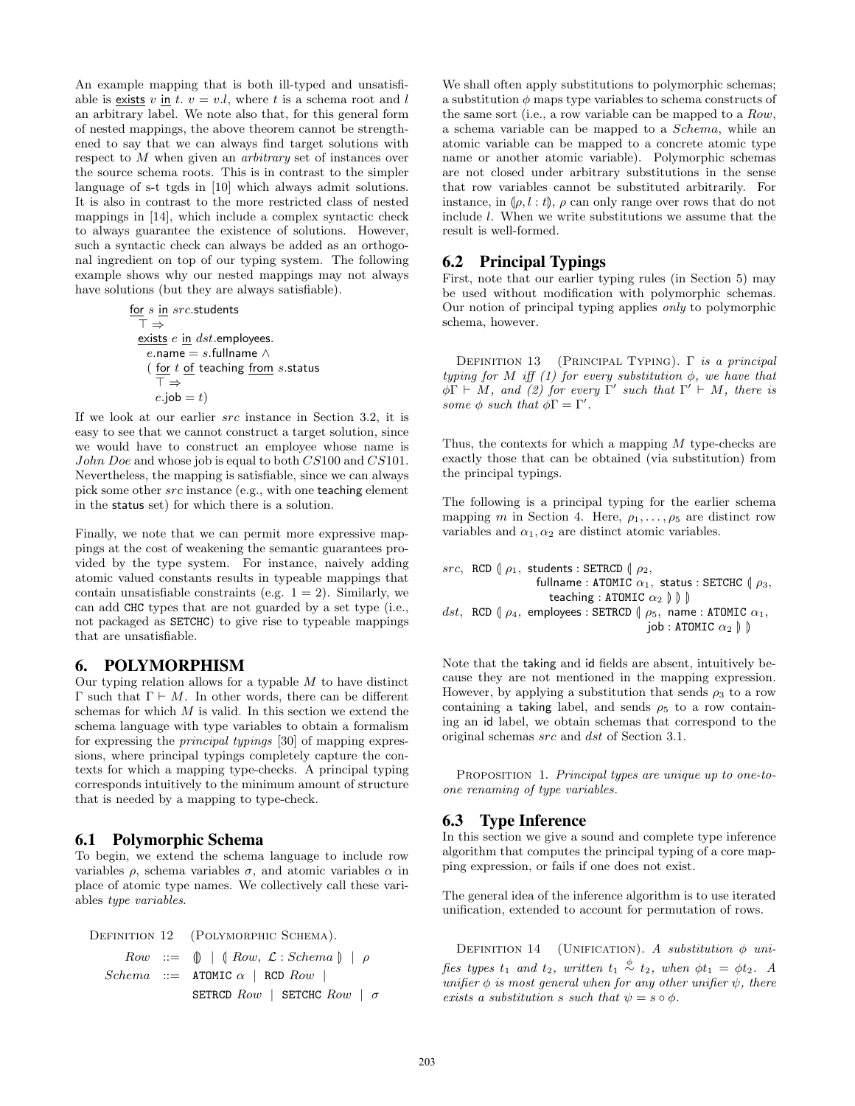An example mapping that is both ill-typed and unsatisfiable is exists v in t.  $v = v.l$ , where t is a schema root and l an arbitrary label. We note also that, for this general form of nested mappings, the above theorem cannot be strengthened to say that we can always find target solutions with respect to M when given an arbitrary set of instances over the source schema roots. This is in contrast to the simpler language of s-t tgds in [10] which always admit solutions. It is also in contrast to the more restricted class of nested mappings in [14], which include a complex syntactic check to always guarantee the existence of solutions. However, such a syntactic check can always be added as an orthogonal ingredient on top of our typing system. The following example shows why our nested mappings may not always have solutions (but they are always satisfiable).

$$
\frac{\text{for } s \text{ in } src.\text{students}}{\top \Rightarrow}
$$
\n
$$
\frac{\text{exists } e \text{ in } dst.\text{employee}}{\text{e.name}} = s.\text{fullname } \land
$$
\n
$$
\left(\frac{\text{for } t \text{ of teaching from } s.\text{status}}{\top \Rightarrow}\right)
$$
\n
$$
e.\text{job} = t
$$

If we look at our earlier src instance in Section 3.2, it is easy to see that we cannot construct a target solution, since we would have to construct an employee whose name is John Doe and whose job is equal to both CS100 and CS101. Nevertheless, the mapping is satisfiable, since we can always pick some other src instance (e.g., with one teaching element in the status set) for which there is a solution.

Finally, we note that we can permit more expressive mappings at the cost of weakening the semantic guarantees provided by the type system. For instance, naively adding atomic valued constants results in typeable mappings that contain unsatisfiable constraints (e.g.  $1 = 2$ ). Similarly, we can add CHC types that are not guarded by a set type (i.e., not packaged as SETCHC) to give rise to typeable mappings that are unsatisfiable.

# 6. POLYMORPHISM

Our typing relation allows for a typable  $M$  to have distinct Γ such that  $Γ ⊢ M$ . In other words, there can be different schemas for which  $M$  is valid. In this section we extend the schema language with type variables to obtain a formalism for expressing the principal typings [30] of mapping expressions, where principal typings completely capture the contexts for which a mapping type-checks. A principal typing corresponds intuitively to the minimum amount of structure that is needed by a mapping to type-check.

# 6.1 Polymorphic Schema

To begin, we extend the schema language to include row variables  $\rho$ , schema variables  $\sigma$ , and atomic variables  $\alpha$  in place of atomic type names. We collectively call these variables type variables.

DEFINITION 12 (POLYMORPHIC SCHEMA).  
\nRow ::= 
$$
\| \cdot \| Row, \mathcal{L} : Schema \| \mid \rho
$$
  
\nSchema ::= ATOMIC  $\alpha \mid RCD Row \|$   
\nSETRCD Row | SETCHC Row |  $\sigma$ 

We shall often apply substitutions to polymorphic schemas; a substitution  $\phi$  maps type variables to schema constructs of the same sort (i.e., a row variable can be mapped to a Row, a schema variable can be mapped to a Schema, while an atomic variable can be mapped to a concrete atomic type name or another atomic variable). Polymorphic schemas are not closed under arbitrary substitutions in the sense that row variables cannot be substituted arbitrarily. For instance, in  $(\rho, l : t)$ ,  $\rho$  can only range over rows that do not include l. When we write substitutions we assume that the result is well-formed.

# 6.2 Principal Typings

First, note that our earlier typing rules (in Section 5) may be used without modification with polymorphic schemas. Our notion of principal typing applies only to polymorphic schema, however.

DEFINITION 13 (PRINCIPAL TYPING). Γ is a principal typing for M iff (1) for every substitution  $\phi$ , we have that  $\phi \Gamma \vdash M$ , and (2) for every  $\Gamma'$  such that  $\Gamma' \vdash M$ , there is some  $\phi$  such that  $\phi \Gamma = \Gamma'$ .

Thus, the contexts for which a mapping  $M$  type-checks are exactly those that can be obtained (via substitution) from the principal typings.

The following is a principal typing for the earlier schema mapping m in Section 4. Here,  $\rho_1, \ldots, \rho_5$  are distinct row variables and  $\alpha_1, \alpha_2$  are distinct atomic variables.

src, RCD  $\parallel \rho_1$ , students : SETRCD  $\parallel \rho_2$ , fullname : ATOMIC  $\alpha_1$ , status : SETCHC  $\int \rho_3$ , teaching : ATOMIC  $\alpha_2$  | | | dst, RCD  $\langle \rho_4, \text{ employees : SETRCD } \langle \rho_5, \text{ name : ATOMIC } \alpha_1,$  $\text{job}: \text{ATOMIC } \alpha_2 \parallel \text{ }$ 

Note that the taking and id fields are absent, intuitively because they are not mentioned in the mapping expression. However, by applying a substitution that sends  $\rho_3$  to a row containing a taking label, and sends  $\rho_5$  to a row containing an id label, we obtain schemas that correspond to the original schemas src and dst of Section 3.1.

PROPOSITION 1. Principal types are unique up to one-toone renaming of type variables.

# 6.3 Type Inference

In this section we give a sound and complete type inference algorithm that computes the principal typing of a core mapping expression, or fails if one does not exist.

The general idea of the inference algorithm is to use iterated unification, extended to account for permutation of rows.

DEFINITION 14 (UNIFICATION). A substitution  $\phi$  unifies types  $t_1$  and  $t_2$ , written  $t_1 \stackrel{\phi}{\sim} t_2$ , when  $\phi t_1 = \phi t_2$ . A unifier  $\phi$  is most general when for any other unifier  $\psi$ , there exists a substitution s such that  $\psi = s \circ \phi$ .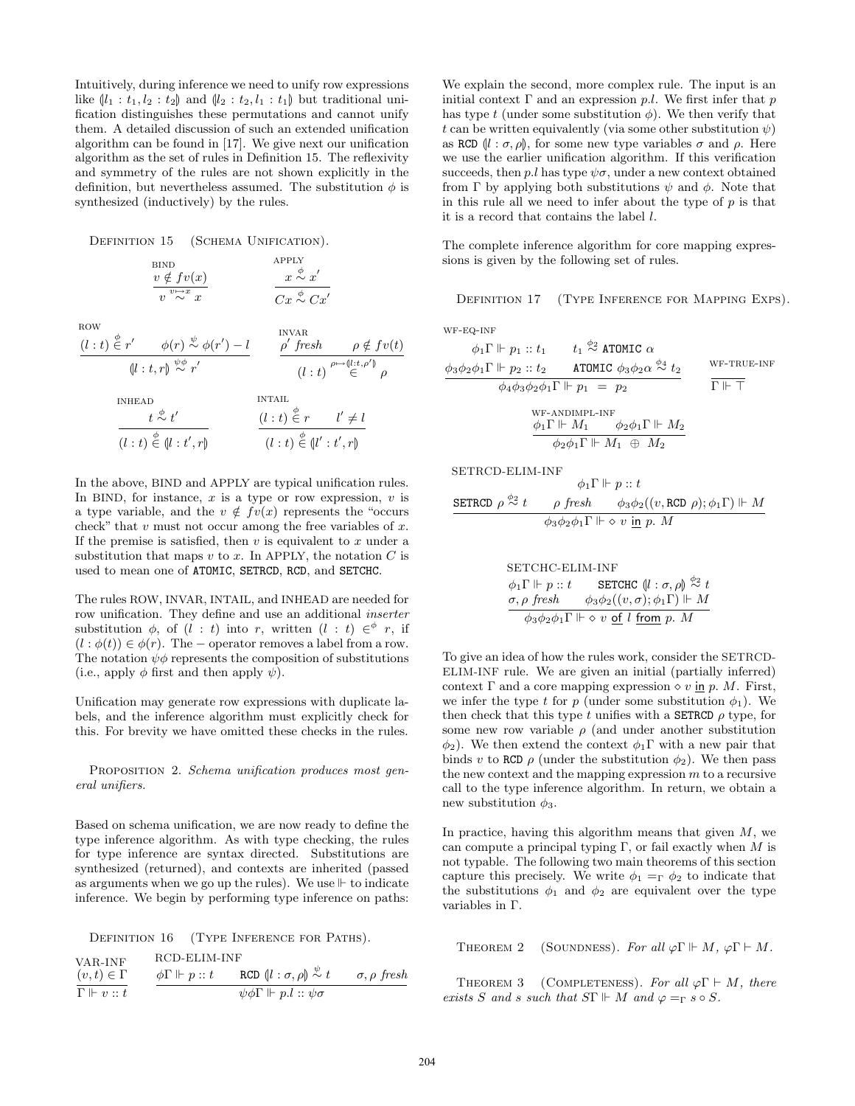Intuitively, during inference we need to unify row expressions like  $\langle l_1 : t_1, l_2 : t_2 \rangle$  and  $\langle l_2 : t_2, l_1 : t_1 \rangle$  but traditional unification distinguishes these permutations and cannot unify them. A detailed discussion of such an extended unification algorithm can be found in [17]. We give next our unification algorithm as the set of rules in Definition 15. The reflexivity and symmetry of the rules are not shown explicitly in the definition, but nevertheless assumed. The substitution  $\phi$  is synthesized (inductively) by the rules.

DEFINITION 15 (SCHEMA UNIFICATION).

$$
\begin{array}{ll}\n\text{BIND} \\
\frac{v \notin f v(x)}{v \stackrel{v \to x}{\sim} x} & \frac{x \stackrel{\phi}{\sim} x'}{Cx \stackrel{\phi}{\sim} C x'}\n\end{array}
$$

row

 $(l : t) \stackrel{\phi}{\in} r'$   $\phi(r) \stackrel{\psi}{\sim} \phi(r') - l$  $(l : t, r) \stackrel{\psi \phi}{\sim} r'$ invar  $\rho'$  fresh  $\rho \notin fv(t)$  $(l : t) \overset{\rho \mapsto (l : t, \rho')}{\in} \rho$ 

$$
\frac{t \stackrel{\phi}{\sim} t'}{(l:t) \stackrel{\phi}{\in} (l:t',r)} \qquad \frac{N}{l!} \stackrel{\text{INTAIL}}{(l:t) \stackrel{\phi}{\in} r} \frac{l'}{l'} \neq l}
$$
\n
$$
\frac{(l:t) \stackrel{\phi}{\in} r}{(l:t) \stackrel{\phi}{\in} (l':t',r)}
$$

In the above, BIND and APPLY are typical unification rules. In BIND, for instance,  $x$  is a type or row expression,  $v$  is a type variable, and the  $v \notin fv(x)$  represents the "occurs" check" that  $v$  must not occur among the free variables of  $x$ . If the premise is satisfied, then  $v$  is equivalent to  $x$  under a substitution that maps  $v$  to  $x$ . In APPLY, the notation  $C$  is used to mean one of ATOMIC, SETRCD, RCD, and SETCHC.

The rules ROW, INVAR, INTAIL, and INHEAD are needed for row unification. They define and use an additional inserter substitution  $\phi$ , of  $(l : t)$  into r, written  $(l : t) \in \phi$  r, if  $(l : \phi(t)) \in \phi(r)$ . The – operator removes a label from a row. The notation  $\psi \phi$  represents the composition of substitutions (i.e., apply  $\phi$  first and then apply  $\psi$ ).

Unification may generate row expressions with duplicate labels, and the inference algorithm must explicitly check for this. For brevity we have omitted these checks in the rules.

PROPOSITION 2. Schema unification produces most general unifiers.

Based on schema unification, we are now ready to define the type inference algorithm. As with type checking, the rules for type inference are syntax directed. Substitutions are synthesized (returned), and contexts are inherited (passed as arguments when we go up the rules). We use  $\mathbb F$  to indicate inference. We begin by performing type inference on paths:

DEFINITION 16 (TYPE INFERENCE FOR PATHS).

VAR-INF  $(v, t) \in \Gamma$  $\overline{\Gamma \Vdash v :: t}$ RCD-ELIM-INF  $\phi \Gamma \Vdash p :: t$  RCD  $(l : \sigma, \rho) \stackrel{\psi}{\sim} t$   $\sigma, \rho$  fresh  $\overline{\psi\phi\Gamma \Vdash p.l :: \psi\sigma}$ 

We explain the second, more complex rule. The input is an initial context  $\Gamma$  and an expression p.l. We first infer that p has type t (under some substitution  $\phi$ ). We then verify that t can be written equivalently (via some other substitution  $\psi$ ) as RCD  $(l : \sigma, \rho)$ , for some new type variables  $\sigma$  and  $\rho$ . Here we use the earlier unification algorithm. If this verification succeeds, then p.l has type  $\psi \sigma$ , under a new context obtained from Γ by applying both substitutions  $\psi$  and  $\phi$ . Note that in this rule all we need to infer about the type of  $p$  is that it is a record that contains the label l.

The complete inference algorithm for core mapping expressions is given by the following set of rules.

DEFINITION 17 (TYPE INFERENCE FOR MAPPING EXPS).

wf-eq-inf

$$
\phi_1 \Gamma \Vdash p_1 :: t_1 \qquad t_1 \stackrel{\phi_2}{\sim} \text{ATOMIC } \alpha
$$
\n
$$
\phi_3 \phi_2 \phi_1 \Gamma \Vdash p_2 :: t_2 \qquad \text{ATOMIC } \phi_3 \phi_2 \alpha \stackrel{\phi_4}{\sim} t_2 \qquad \text{WF-TRUE-INF} \n\phi_4 \phi_3 \phi_2 \phi_1 \Gamma \Vdash p_1 = p_2 \qquad \qquad \overline{\Gamma \Vdash \top} \n\frac{\text{WF-ANDIMPL-INF}}{\phi_1 \Gamma \Vdash M_1 \quad \phi_2 \phi_1 \Gamma \Vdash M_2} \n\phi_2 \phi_1 \Gamma \Vdash M_1 \oplus M_2
$$

SETRCD-ELIM-INF

$$
\frac{\text{SETRCD}\,\,\rho\stackrel{\phi_2}{\approx}t\quad\rho\,\,\text{fresh}}{\phi_3\phi_2\phi_1\Gamma\Vdash\phi\,\,v\,\,\text{in}\,\,p.\,\,M}
$$

**SECTION. 1** 
$$
\phi_1 \Gamma \Vdash p :: t
$$
 **SECTION. 2**  $\phi_2 \uparrow \phi_2$   $\sigma$ ,  $\rho$  **first**  $\phi_3 \phi_2((v, \sigma); \phi_1 \Gamma) \Vdash M$   $\phi_3 \phi_2 \phi_1 \Gamma \Vdash \phi_2$  **or of** *l* **from** *p*. *M*

To give an idea of how the rules work, consider the SETRCD-ELIM-INF rule. We are given an initial (partially inferred) context  $\Gamma$  and a core mapping expression  $\Diamond$  v in p. M. First, we infer the type t for p (under some substitution  $\phi_1$ ). We then check that this type t unifies with a SETRCD  $\rho$  type, for some new row variable  $\rho$  (and under another substitution  $\phi_2$ ). We then extend the context  $\phi_1 \Gamma$  with a new pair that binds v to RCD  $\rho$  (under the substitution  $\phi_2$ ). We then pass the new context and the mapping expression m to a recursive call to the type inference algorithm. In return, we obtain a new substitution  $\phi_3$ .

In practice, having this algorithm means that given  $M$ , we can compute a principal typing  $\Gamma$ , or fail exactly when M is not typable. The following two main theorems of this section capture this precisely. We write  $\phi_1 = \phi_2$  to indicate that the substitutions  $\phi_1$  and  $\phi_2$  are equivalent over the type variables in Γ.

THEOREM 2 (SOUNDNESS). For all  $\varphi \Gamma \Vdash M$ ,  $\varphi \Gamma \vdash M$ .

THEOREM 3 (COMPLETENESS). For all  $\varphi \Gamma \vdash M$ , there exists S and s such that  $S\Gamma \Vdash M$  and  $\varphi =_{\Gamma} s \circ S$ .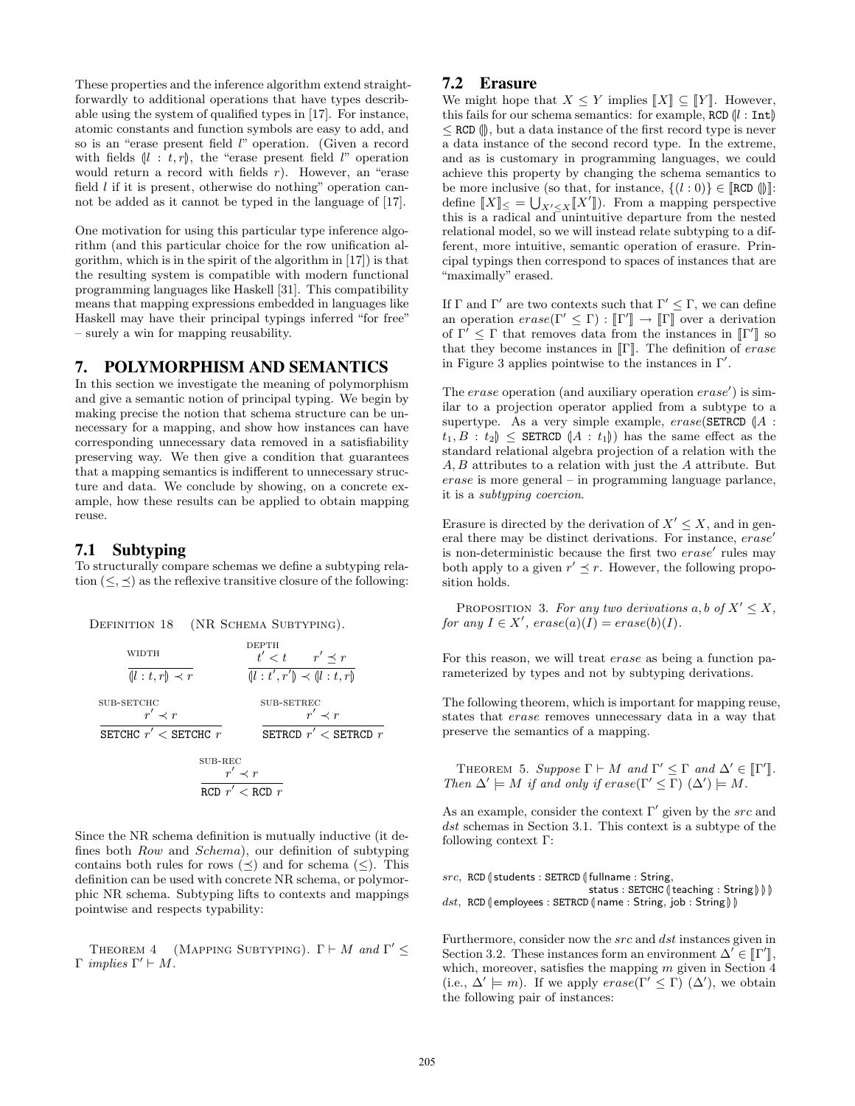These properties and the inference algorithm extend straightforwardly to additional operations that have types describable using the system of qualified types in [17]. For instance, atomic constants and function symbols are easy to add, and so is an "erase present field l" operation. (Given a record with fields  $\llbracket l : t, r \rrbracket$ , the "erase present field l" operation would return a record with fields  $r$ ). However, an "erase field  $l$  if it is present, otherwise do nothing" operation cannot be added as it cannot be typed in the language of [17].

One motivation for using this particular type inference algorithm (and this particular choice for the row unification algorithm, which is in the spirit of the algorithm in [17]) is that the resulting system is compatible with modern functional programming languages like Haskell [31]. This compatibility means that mapping expressions embedded in languages like Haskell may have their principal typings inferred "for free" – surely a win for mapping reusability.

# 7. POLYMORPHISM AND SEMANTICS

In this section we investigate the meaning of polymorphism and give a semantic notion of principal typing. We begin by making precise the notion that schema structure can be unnecessary for a mapping, and show how instances can have corresponding unnecessary data removed in a satisfiability preserving way. We then give a condition that guarantees that a mapping semantics is indifferent to unnecessary structure and data. We conclude by showing, on a concrete example, how these results can be applied to obtain mapping reuse.

#### 7.1 Subtyping

To structurally compare schemas we define a subtyping relation  $(\leq, \preceq)$  as the reflexive transitive closure of the following:



Since the NR schema definition is mutually inductive (it defines both Row and Schema), our definition of subtyping contains both rules for rows  $(\preceq)$  and for schema  $(\leq)$ . This definition can be used with concrete NR schema, or polymorphic NR schema. Subtyping lifts to contexts and mappings pointwise and respects typability:

THEOREM 4 (MAPPING SUBTYPING).  $\Gamma \vdash M$  and  $\Gamma' \leq$ Γ implies  $Γ' \vdash M$ .

#### 7.2 Erasure

We might hope that  $X \leq Y$  implies  $\llbracket X \rrbracket \subseteq \llbracket Y \rrbracket$ . However, this fails for our schema semantics: for example, RCD  $($ l : Int $)$  $\leq$  RCD  $\langle \rangle$ , but a data instance of the first record type is never a data instance of the second record type. In the extreme, and as is customary in programming languages, we could achieve this property by changing the schema semantics to be more inclusive (so that, for instance,  $\{(l : 0)\}\in \mathbb{R}CD$  ( $\parallel\mathbb{R}$ ): define  $[[X]] \leq \bigcup_{X' \leq X} [[X']]$ . From a mapping perspective<br>this is a radical and unintuitive departure from the nested this is a radical and unintuitive departure from the nested relational model, so we will instead relate subtyping to a different, more intuitive, semantic operation of erasure. Principal typings then correspond to spaces of instances that are "maximally" erased.

If  $\Gamma$  and  $\Gamma'$  are two contexts such that  $\Gamma' \leq \Gamma$ , we can define an operation  $\text{erase}(\Gamma' \leq \Gamma) : [\Gamma'] \to [\Gamma]$  over a derivation<br>of  $\Gamma' \leq \Gamma$  that removes data from the instances in  $[\Gamma']$  so of  $\Gamma' \leq \Gamma$  that removes data from the instances in  $\llbracket \Gamma' \rrbracket$  so that they become instances in  $\llbracket \Gamma \rrbracket$ . The definition of exact that they become instances in  $\llbracket \Gamma \rrbracket$ . The definition of erase in Figure 3 applies pointwise to the instances in  $\Gamma'$ .

The erase operation (and auxiliary operation  $\text{erase}'$ ) is similar to a projection operator applied from a subtype to a supertype. As a very simple example,  $\text{erase}(\text{SETRCD} \parallel A :$  $t_1, B : t_2$   $\leq$  SETRCD  $(A : t_1)$  has the same effect as the standard relational algebra projection of a relation with the A, B attributes to a relation with just the A attribute. But erase is more general – in programming language parlance, it is a subtyping coercion.

Erasure is directed by the derivation of  $X' \leq X$ , and in general there may be distinct derivations. For instance,  $erase'$ is non-deterministic because the first two  $\text{erase}'$  rules may both apply to a given  $r' \preceq r$ . However, the following proposition holds.

PROPOSITION 3. For any two derivations a, b of  $X' \leq X$ , for any  $I \in X'$ ,  $erase(a)(I) = erase(b)(I)$ .

For this reason, we will treat erase as being a function parameterized by types and not by subtyping derivations.

The following theorem, which is important for mapping reuse, states that erase removes unnecessary data in a way that preserve the semantics of a mapping.

THEOREM 5. Suppose  $\Gamma \vdash M$  and  $\Gamma' \leq \Gamma$  and  $\Delta' \in [\Gamma']$ .<br>
can  $\Delta' \vdash M$  if and only if angog( $\Gamma' \leq \Gamma$ )  $(\Delta') \vdash M$ . Then  $\Delta' \models M$  if and only if  $\text{erase}(\Gamma' \leq \Gamma) \; (\Delta') \models M$ .

As an example, consider the context  $\Gamma'$  given by the src and dst schemas in Section 3.1. This context is a subtype of the following context Γ:

 $src$ , RCD (students : SETRCD (fullname : String, status : SETCHC  $($  teaching : String  $)$   $)$   $)$  $dst$ , RCD (employees: SETRCD (name: String, job: String))

Furthermore, consider now the src and dst instances given in Section 3.2. These instances form an environment  $\Delta' \in [\![\Gamma']\!]$ ,<br>which moreover, satisfies the manning m given in Section 4. which, moreover, satisfies the mapping  $m$  given in Section  $4$ (i.e.,  $\Delta' \models m$ ). If we apply  $\text{erase}(\Gamma' \leq \Gamma)$  ( $\Delta'$ ), we obtain the following pair of instances: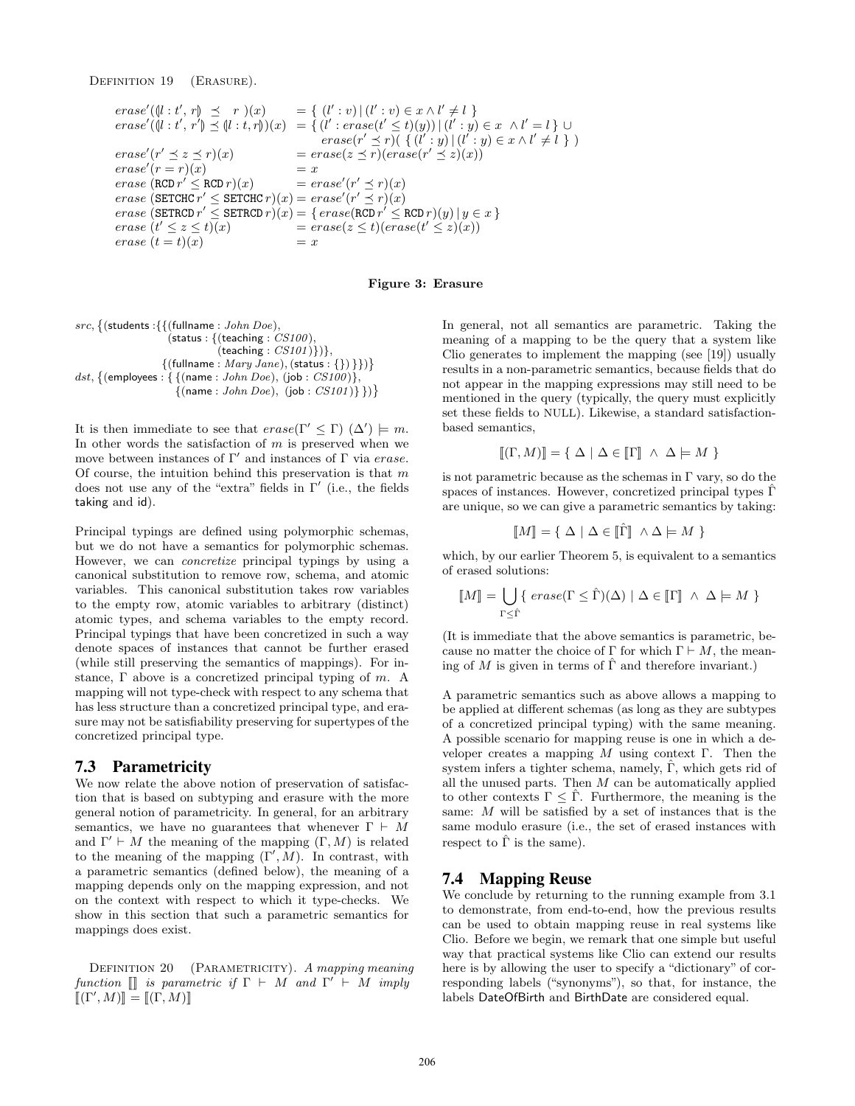DEFINITION 19 (ERASURE).

$$
\begin{array}{lll} \textit{erase}'(\mathbb{l} : t', r) \preceq r)(x) & = \{ (l' : v) | (l' : v) \in x \land l' \neq l \} \\ \textit{erase}'(\mathbb{l} : t', r') \preceq (l : t, r)) (x) & = \{ (l' : \textit{erase}(t' \leq t)(y)) | (l' : y) \in x \land l' = l \} \cup \\ & \textit{erase}(r' \preceq r)(x) & = \textit{erase}(z \preceq r)(\{ (l' : y) | (l' : y) \in x \land l' \neq l \} ) \\ \textit{erase}'(r = r)(x) & = x \\ \textit{erase}(\texttt{RCD}\, r' \preceq \texttt{RCD}\, r)(x) & = x \\ \textit{erase}(\texttt{RCD}\, r' \preceq \texttt{RCD}\, r)(x) & = \textit{erase}'(r' \preceq r)(x) \\ \textit{erase}(\texttt{SETRCD}\, r' \preceq \texttt{SETCRCD}\, r)(x) & = \textit{erase}'(r' \preceq r)(x) \\ \textit{erase}(\texttt{SETRCD}\, r' \preceq \texttt{SETRCD}\, r)(x) & = \{ \textit{erase}(\texttt{RCD}\, r' \preceq \texttt{RCD}\, r)(y) | y \in x \} \\ \textit{erase} & (t' \preceq z \preceq t)(x) & = \textit{erase}(z \preceq t)(\textit{erase}(t' \preceq z)(x)) \\ \textit{erase} & (t = t)(x) & = x \end{array}
$$



$$
src, \{(\text{students}: \{\{\text{fullname}: John Doe\}),\newline (\text{status}: \{\text{teaching}: CSI00\}),\newline (\text{teaching}: CSI01)\})\}, \\ \{(\text{fullname}: Mary Jane), (\text{status}: \{\})\}\}\} \\ \text{dst, \{(\text{employee}: \{\{\text{name}: John Doe\}), (\text{job}: CSI00)\},\newline \{\text{(name: John Doe)}, (\text{job}: CSI01)\}\})\}
$$

It is then immediate to see that  $\text{erase}(\Gamma' \leq \Gamma)$   $(\Delta') \models m$ . In other words the satisfaction of  $m$  is preserved when we move between instances of  $\Gamma'$  and instances of  $\Gamma$  via erase. Of course, the intuition behind this preservation is that  $m$ does not use any of the "extra" fields in  $\Gamma'$  (i.e., the fields taking and id).

Principal typings are defined using polymorphic schemas, but we do not have a semantics for polymorphic schemas. However, we can concretize principal typings by using a canonical substitution to remove row, schema, and atomic variables. This canonical substitution takes row variables to the empty row, atomic variables to arbitrary (distinct) atomic types, and schema variables to the empty record. Principal typings that have been concretized in such a way denote spaces of instances that cannot be further erased (while still preserving the semantics of mappings). For instance,  $\Gamma$  above is a concretized principal typing of m. A mapping will not type-check with respect to any schema that has less structure than a concretized principal type, and erasure may not be satisfiability preserving for supertypes of the concretized principal type.

#### 7.3 Parametricity

We now relate the above notion of preservation of satisfaction that is based on subtyping and erasure with the more general notion of parametricity. In general, for an arbitrary semantics, we have no guarantees that whenever  $\Gamma \vdash M$ and  $\Gamma' \vdash M$  the meaning of the mapping  $(\Gamma, M)$  is related to the meaning of the mapping  $(\Gamma', M)$ . In contrast, with a parametric semantics (defined below), the meaning of a mapping depends only on the mapping expression, and not on the context with respect to which it type-checks. We show in this section that such a parametric semantics for mappings does exist.

DEFINITION 20 (PARAMETRICITY). A mapping meaning function  $\blacksquare$  is parametric if  $\Gamma \vdash M$  and  $\Gamma' \vdash M$  imply  $\mathbb{F}(\Gamma' \land M) \mathbb{I} = \mathbb{F}(\Gamma \land M) \mathbb{I}$  $[[(\Gamma', M)]] = [[(\Gamma, M)]]$ 

In general, not all semantics are parametric. Taking the meaning of a mapping to be the query that a system like Clio generates to implement the mapping (see [19]) usually results in a non-parametric semantics, because fields that do not appear in the mapping expressions may still need to be mentioned in the query (typically, the query must explicitly set these fields to NULL). Likewise, a standard satisfactionbased semantics,

$$
[\![ (\Gamma, M)]\!] = \{ \Delta \mid \Delta \in [\![ \Gamma ]\!] \ \land \ \Delta \models M \ \}
$$

is not parametric because as the schemas in  $\Gamma$  vary, so do the spaces of instances. However, concretized principal types Γ are unique, so we can give a parametric semantics by taking:

$$
[\![M]\!] = \{ \ \Delta \mid \Delta \in [\![\hat{\Gamma}]\!] \ \land \Delta \models M \ \}
$$

which, by our earlier Theorem 5, is equivalent to a semantics of erased solutions:

$$
[\![M]\!] = \bigcup_{\Gamma \leq \hat{\Gamma}} \{ \text{ } erase(\Gamma \leq \hat{\Gamma})(\Delta) \mid \Delta \in [\![\Gamma]\!] \ \wedge \ \Delta \models M \ \}
$$

(It is immediate that the above semantics is parametric, because no matter the choice of  $\Gamma$  for which  $\Gamma \vdash M$ , the meaning of M is given in terms of  $\hat{\Gamma}$  and therefore invariant.)

A parametric semantics such as above allows a mapping to be applied at different schemas (as long as they are subtypes of a concretized principal typing) with the same meaning. A possible scenario for mapping reuse is one in which a developer creates a mapping  $M$  using context Γ. Then the system infers a tighter schema, namely,  $\hat{\Gamma}$ , which gets rid of all the unused parts. Then  $M$  can be automatically applied to other contexts  $\Gamma \leq \hat{\Gamma}$ . Furthermore, the meaning is the same: M will be satisfied by a set of instances that is the same modulo erasure (i.e., the set of erased instances with respect to  $\hat{\Gamma}$  is the same).

#### 7.4 Mapping Reuse

We conclude by returning to the running example from 3.1 to demonstrate, from end-to-end, how the previous results can be used to obtain mapping reuse in real systems like Clio. Before we begin, we remark that one simple but useful way that practical systems like Clio can extend our results here is by allowing the user to specify a "dictionary" of corresponding labels ("synonyms"), so that, for instance, the labels DateOfBirth and BirthDate are considered equal.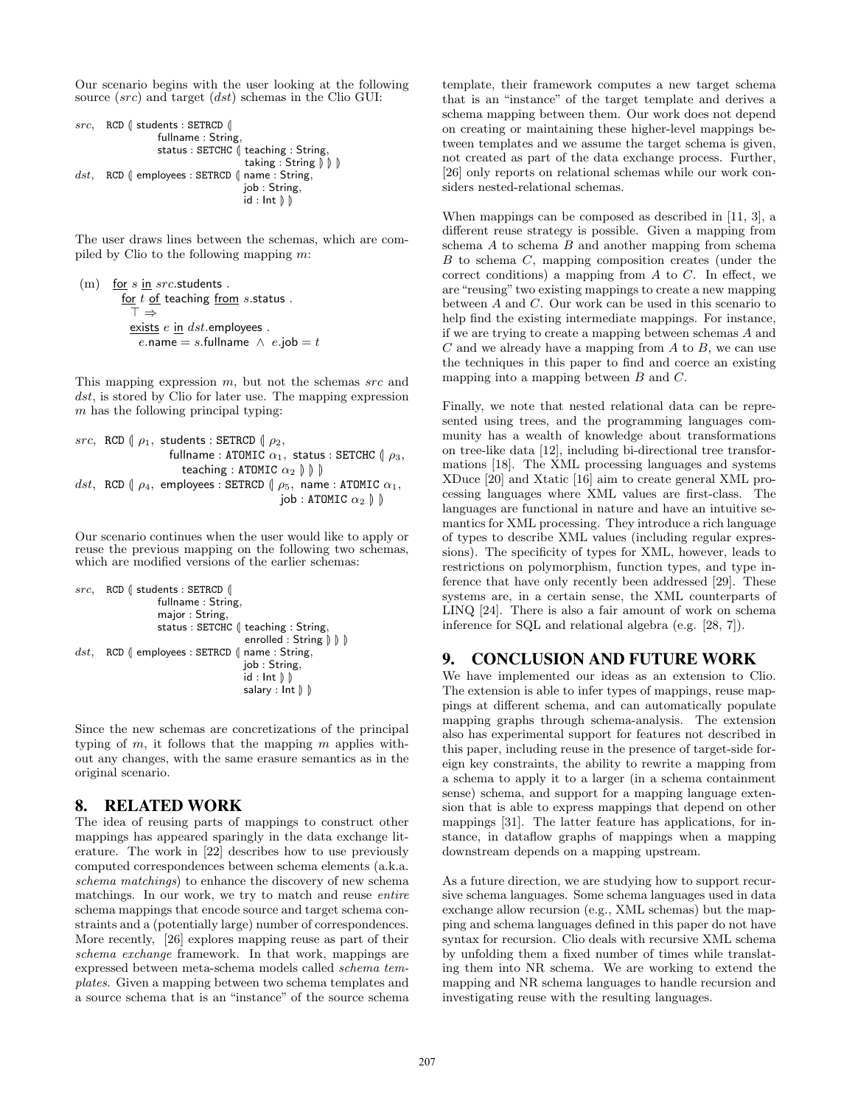Our scenario begins with the user looking at the following source (src) and target (dst) schemas in the Clio GUI:

```
src, RCD \parallel students : SETRCD \parallelfullname : String,
                         status : SETCHC ( teaching : String,
                                                     taking : String \left|\right| \left|\right|dst, RCD \langle \rangle employees : SETRCD \langle \rangle name : String,
                                                    job : String,
                                                    id : Int \nightharpoonup \nightharpoonup
```
The user draws lines between the schemas, which are compiled by Clio to the following mapping m:

(m) 
$$
\underbrace{\text{for } s \text{ in } src.\text{students}}_{\top \Rightarrow}
$$

$$
\underbrace{\text{for } t \text{ of teaching from } s.\text{status .}}_{\text{exists } e \text{ in } dst.\text{employee}}.
$$

$$
e.\text{name} = s.\text{fullname } \land e.\text{job} = t
$$

This mapping expression  $m$ , but not the schemas  $src$  and dst, is stored by Clio for later use. The mapping expression  $m$  has the following principal typing:

\n
$$
src
$$
, RCD  $(\rho_1, \text{ students} : \text{SETRCD } (\rho_2, \text{fullname}: \text{ATOMIC } \alpha_1, \text{ status} : \text{SETCHC } (\rho_3, \text{teaching}: \text{ATOMIC } \alpha_2) ) )$ \n

\n\n $dst$ , RCD  $(\rho_4, \text{ employees}: \text{SETRCD } (\rho_5, \text{name}: \text{ATOMIC } \alpha_1, \text{job}: \text{ATOMIC } \alpha_2) )$ \n

Our scenario continues when the user would like to apply or reuse the previous mapping on the following two schemas, which are modified versions of the earlier schemas:

```
src, RCD ( students : SETRCD (
                         fullname : String,
                         major : String,
                          status : SETCHC (| teaching : String,<br>| enrolled : String
                                                     enrolled : String \lVert \cdot \rVert \paralleldst, RCD \parallel employees : SETRCD \parallel name : String,
                                                    iob : String,
                                                    id : Int \nightharpoonup \nightharpoonupsalary : Int \mathbb{N}
```
Since the new schemas are concretizations of the principal typing of  $m$ , it follows that the mapping  $m$  applies without any changes, with the same erasure semantics as in the original scenario.

# 8. RELATED WORK

The idea of reusing parts of mappings to construct other mappings has appeared sparingly in the data exchange literature. The work in [22] describes how to use previously computed correspondences between schema elements (a.k.a. schema matchings) to enhance the discovery of new schema matchings. In our work, we try to match and reuse entire schema mappings that encode source and target schema constraints and a (potentially large) number of correspondences. More recently, [26] explores mapping reuse as part of their schema exchange framework. In that work, mappings are expressed between meta-schema models called schema templates. Given a mapping between two schema templates and a source schema that is an "instance" of the source schema template, their framework computes a new target schema that is an "instance" of the target template and derives a schema mapping between them. Our work does not depend on creating or maintaining these higher-level mappings between templates and we assume the target schema is given, not created as part of the data exchange process. Further, [26] only reports on relational schemas while our work considers nested-relational schemas.

When mappings can be composed as described in [11, 3], a different reuse strategy is possible. Given a mapping from schema  $A$  to schema  $B$  and another mapping from schema  $B$  to schema  $C$ , mapping composition creates (under the correct conditions) a mapping from  $A$  to  $C$ . In effect, we are "reusing" two existing mappings to create a new mapping between A and C. Our work can be used in this scenario to help find the existing intermediate mappings. For instance, if we are trying to create a mapping between schemas A and  $C$  and we already have a mapping from  $A$  to  $B$ , we can use the techniques in this paper to find and coerce an existing mapping into a mapping between  $B$  and  $C$ .

Finally, we note that nested relational data can be represented using trees, and the programming languages community has a wealth of knowledge about transformations on tree-like data [12], including bi-directional tree transformations [18]. The XML processing languages and systems XDuce [20] and Xtatic [16] aim to create general XML processing languages where XML values are first-class. The languages are functional in nature and have an intuitive semantics for XML processing. They introduce a rich language of types to describe XML values (including regular expressions). The specificity of types for XML, however, leads to restrictions on polymorphism, function types, and type inference that have only recently been addressed [29]. These systems are, in a certain sense, the XML counterparts of LINQ [24]. There is also a fair amount of work on schema inference for SQL and relational algebra (e.g. [28, 7]).

# 9. CONCLUSION AND FUTURE WORK

We have implemented our ideas as an extension to Clio. The extension is able to infer types of mappings, reuse mappings at different schema, and can automatically populate mapping graphs through schema-analysis. The extension also has experimental support for features not described in this paper, including reuse in the presence of target-side foreign key constraints, the ability to rewrite a mapping from a schema to apply it to a larger (in a schema containment sense) schema, and support for a mapping language extension that is able to express mappings that depend on other mappings [31]. The latter feature has applications, for instance, in dataflow graphs of mappings when a mapping downstream depends on a mapping upstream.

As a future direction, we are studying how to support recursive schema languages. Some schema languages used in data exchange allow recursion (e.g., XML schemas) but the mapping and schema languages defined in this paper do not have syntax for recursion. Clio deals with recursive XML schema by unfolding them a fixed number of times while translating them into NR schema. We are working to extend the mapping and NR schema languages to handle recursion and investigating reuse with the resulting languages.